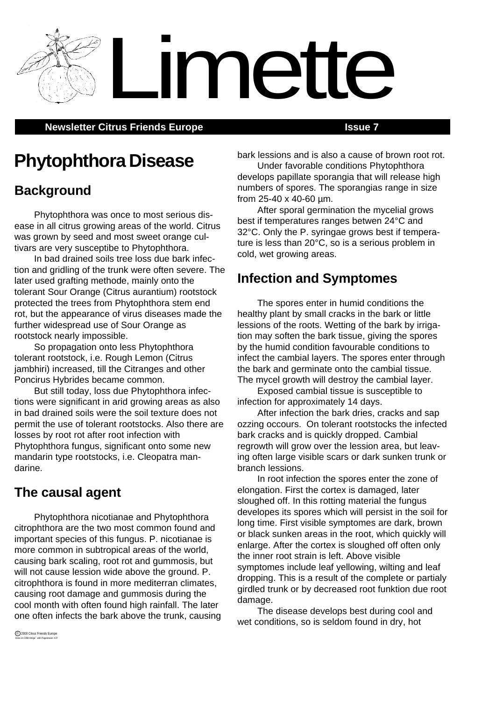**Newsletter Citrus Friends Europe <b>ISSUE 7 ISSUE 7** 

# **Phytophthora Disease**

## **Background**

Phytophthora was once to most serious disease in all citrus growing areas of the world. Citrus was grown by seed and most sweet orange cultivars are very susceptibe to Phytophthora.

In bad drained soils tree loss due bark infection and gridling of the trunk were often severe. The later used grafting methode, mainly onto the tolerant Sour Orange (Citrus aurantium) rootstock protected the trees from Phytophthora stem end rot, but the appearance of virus diseases made the further widespread use of Sour Orange as rootstock nearly impossible.

So propagation onto less Phytophthora tolerant rootstock, i.e. Rough Lemon (Citrus jambhiri) increased, till the Citranges and other Poncirus Hybrides became common.

But still today, loss due Phytophthora infections were significant in arid growing areas as also in bad drained soils were the soil texture does not permit the use of tolerant rootstocks. Also there are losses by root rot after root infection with Phytophthora fungus, significant onto some new mandarin type rootstocks, i.e. Cleopatra mandarine.

### **The causal agent**

Phytophthora nicotianae and Phytophthora citrophthora are the two most common found and important species of this fungus. P. nicotianae is more common in subtropical areas of the world, causing bark scaling, root rot and gummosis, but will not cause lession wide above the ground. P. citrophthora is found in more mediterran climates, causing root damage and gummosis during the cool month with often found high rainfall. The later one often infects the bark above the trunk, causing bark lessions and is also a cause of brown root rot.

Under favorable conditions Phytophthora develops papillate sporangia that will release high numbers of spores. The sporangias range in size from 25-40 x 40-60 µm.

After sporal germination the mycelial grows best if temperatures ranges betwen 24°C and 32°C. Only the P. syringae grows best if temperature is less than 20°C, so is a serious problem in cold, wet growing areas.

## **Infection and Symptomes**

Limette

The spores enter in humid conditions the healthy plant by small cracks in the bark or little lessions of the roots. Wetting of the bark by irrigation may soften the bark tissue, giving the spores by the humid condition favourable conditions to infect the cambial layers. The spores enter through the bark and germinate onto the cambial tissue. The mycel growth will destroy the cambial layer.

Exposed cambial tissue is susceptible to infection for approximately 14 days.

After infection the bark dries, cracks and sap ozzing occours. On tolerant rootstocks the infected bark cracks and is quickly dropped. Cambial regrowth will grow over the lession area, but leaving often large visible scars or dark sunken trunk or branch lessions.

In root infection the spores enter the zone of elongation. First the cortex is damaged, later sloughed off. In this rotting material the fungus developes its spores which will persist in the soil for long time. First visible symptomes are dark, brown or black sunken areas in the root, which quickly will enlarge. After the cortex is sloughed off often only the inner root strain is left. Above visible symptomes include leaf yellowing, wilting and leaf dropping. This is a result of the complete or partialy girdled trunk or by decreased root funktion due root damage.

The disease develops best during cool and wet conditions, so is seldom found in dry, hot